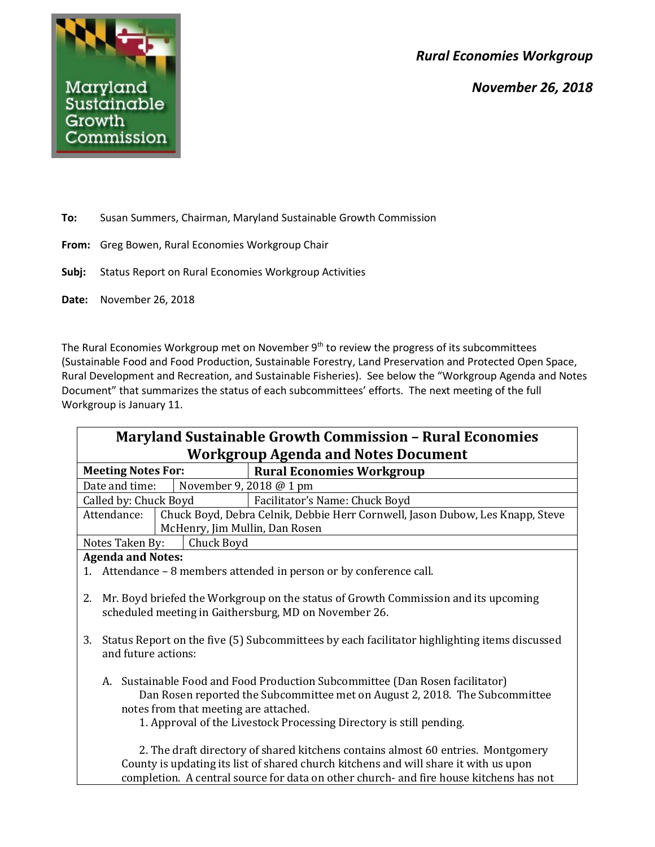*Rural Economies Workgroup*

*November 26, 2018*



**To:** Susan Summers, Chairman, Maryland Sustainable Growth Commission

- **From:** Greg Bowen, Rural Economies Workgroup Chair
- **Subj:** Status Report on Rural Economies Workgroup Activities
- **Date:** November 26, 2018

The Rural Economies Workgroup met on November 9<sup>th</sup> to review the progress of its subcommittees (Sustainable Food and Food Production, Sustainable Forestry, Land Preservation and Protected Open Space, Rural Development and Recreation, and Sustainable Fisheries). See below the "Workgroup Agenda and Notes Document" that summarizes the status of each subcommittees' efforts. The next meeting of the full Workgroup is January 11.

| <b>Maryland Sustainable Growth Commission - Rural Economies</b><br><b>Workgroup Agenda and Notes Document</b> |                                                                                                                                                                                                                                                                             |                                                                                                                                                                                                                                                                    |  |  |  |
|---------------------------------------------------------------------------------------------------------------|-----------------------------------------------------------------------------------------------------------------------------------------------------------------------------------------------------------------------------------------------------------------------------|--------------------------------------------------------------------------------------------------------------------------------------------------------------------------------------------------------------------------------------------------------------------|--|--|--|
| <b>Meeting Notes For:</b>                                                                                     |                                                                                                                                                                                                                                                                             | <b>Rural Economies Workgroup</b>                                                                                                                                                                                                                                   |  |  |  |
| Date and time:                                                                                                |                                                                                                                                                                                                                                                                             | November 9, 2018 @ 1 pm                                                                                                                                                                                                                                            |  |  |  |
| Called by: Chuck Boyd                                                                                         |                                                                                                                                                                                                                                                                             | Facilitator's Name: Chuck Boyd                                                                                                                                                                                                                                     |  |  |  |
| Attendance:                                                                                                   | McHenry, Jim Mullin, Dan Rosen                                                                                                                                                                                                                                              | Chuck Boyd, Debra Celnik, Debbie Herr Cornwell, Jason Dubow, Les Knapp, Steve                                                                                                                                                                                      |  |  |  |
| Chuck Boyd<br>Notes Taken By:                                                                                 |                                                                                                                                                                                                                                                                             |                                                                                                                                                                                                                                                                    |  |  |  |
| <b>Agenda and Notes:</b>                                                                                      |                                                                                                                                                                                                                                                                             |                                                                                                                                                                                                                                                                    |  |  |  |
|                                                                                                               | 1. Attendance – 8 members attended in person or by conference call.                                                                                                                                                                                                         |                                                                                                                                                                                                                                                                    |  |  |  |
| 2.                                                                                                            | Mr. Boyd briefed the Workgroup on the status of Growth Commission and its upcoming<br>scheduled meeting in Gaithersburg, MD on November 26.                                                                                                                                 |                                                                                                                                                                                                                                                                    |  |  |  |
| 3.                                                                                                            | Status Report on the five (5) Subcommittees by each facilitator highlighting items discussed<br>and future actions:                                                                                                                                                         |                                                                                                                                                                                                                                                                    |  |  |  |
|                                                                                                               | A. Sustainable Food and Food Production Subcommittee (Dan Rosen facilitator)<br>Dan Rosen reported the Subcommittee met on August 2, 2018. The Subcommittee<br>notes from that meeting are attached.<br>1. Approval of the Livestock Processing Directory is still pending. |                                                                                                                                                                                                                                                                    |  |  |  |
|                                                                                                               |                                                                                                                                                                                                                                                                             | 2. The draft directory of shared kitchens contains almost 60 entries. Montgomery<br>County is updating its list of shared church kitchens and will share it with us upon<br>completion. A central source for data on other church- and fire house kitchens has not |  |  |  |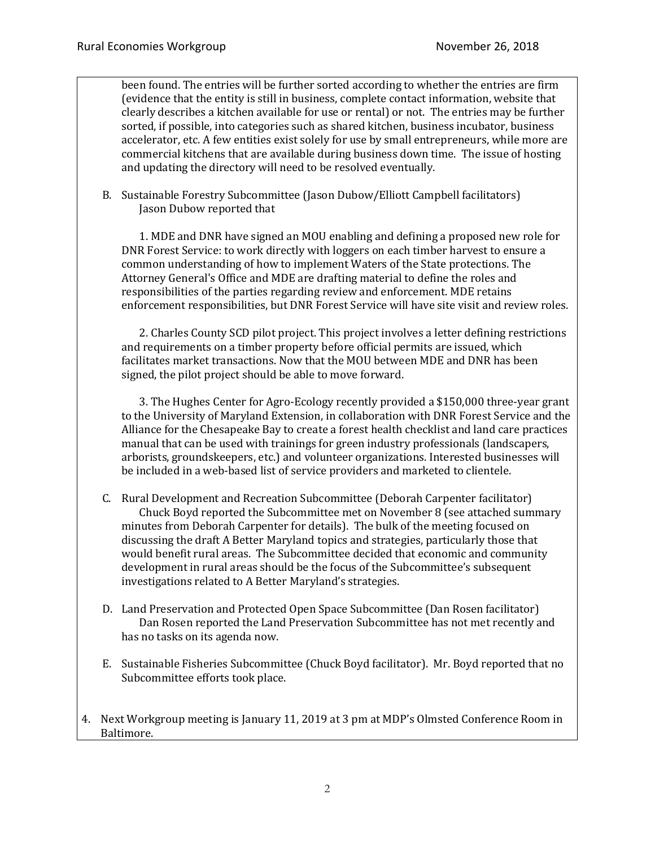been found. The entries will be further sorted according to whether the entries are firm (evidence that the entity is still in business, complete contact information, website that clearly describes a kitchen available for use or rental) or not. The entries may be further sorted, if possible, into categories such as shared kitchen, business incubator, business accelerator, etc. A few entities exist solely for use by small entrepreneurs, while more are commercial kitchens that are available during business down time. The issue of hosting and updating the directory will need to be resolved eventually.

B. Sustainable Forestry Subcommittee (Jason Dubow/Elliott Campbell facilitators) Jason Dubow reported that

1. MDE and DNR have signed an MOU enabling and defining a proposed new role for DNR Forest Service: to work directly with loggers on each timber harvest to ensure a common understanding of how to implement Waters of the State protections. The Attorney General's Office and MDE are drafting material to define the roles and responsibilities of the parties regarding review and enforcement. MDE retains enforcement responsibilities, but DNR Forest Service will have site visit and review roles.

2. Charles County SCD pilot project. This project involves a letter defining restrictions and requirements on a timber property before official permits are issued, which facilitates market transactions. Now that the MOU between MDE and DNR has been signed, the pilot project should be able to move forward.

3. The Hughes Center for Agro-Ecology recently provided a \$150,000 three-year grant to the University of Maryland Extension, in collaboration with DNR Forest Service and the Alliance for the Chesapeake Bay to create a forest health checklist and land care practices manual that can be used with trainings for green industry professionals (landscapers, arborists, groundskeepers, etc.) and volunteer organizations. Interested businesses will be included in a web-based list of service providers and marketed to clientele.

- C. Rural Development and Recreation Subcommittee (Deborah Carpenter facilitator) Chuck Boyd reported the Subcommittee met on November 8 (see attached summary minutes from Deborah Carpenter for details). The bulk of the meeting focused on discussing the draft A Better Maryland topics and strategies, particularly those that would benefit rural areas. The Subcommittee decided that economic and community development in rural areas should be the focus of the Subcommittee's subsequent investigations related to A Better Maryland's strategies.
- D. Land Preservation and Protected Open Space Subcommittee (Dan Rosen facilitator) Dan Rosen reported the Land Preservation Subcommittee has not met recently and has no tasks on its agenda now.
- E. Sustainable Fisheries Subcommittee (Chuck Boyd facilitator). Mr. Boyd reported that no Subcommittee efforts took place.
- 4. Next Workgroup meeting is January 11, 2019 at 3 pm at MDP's Olmsted Conference Room in Baltimore.